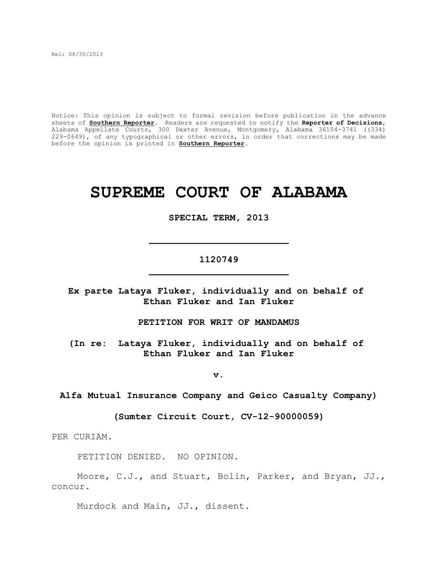Rel: 08/30/2013

Notice: This opinion is subject to formal revision before publication in the advance sheets of **Southern Reporter**. Readers are requested to notify the **Reporter of Decisions**, Alabama Appellate Courts, 300 Dexter Avenue, Montgomery, Alabama 36104-3741 ((334) 229-0649), of any typographical or other errors, in order that corrections may be made before the opinion is printed in **Southern Reporter**.

# **SUPREME COURT OF ALABAMA**

#### **SPECIAL TERM, 2013**

# **1120749 \_\_\_\_\_\_\_\_\_\_\_\_\_\_\_\_\_\_\_\_\_\_\_\_\_**

**\_\_\_\_\_\_\_\_\_\_\_\_\_\_\_\_\_\_\_\_\_\_\_\_\_**

**Ex parte Lataya Fluker, individually and on behalf of Ethan Fluker and Ian Fluker**

**PETITION FOR WRIT OF MANDAMUS**

**(In re: Lataya Fluker, individually and on behalf of Ethan Fluker and Ian Fluker**

**v.**

**Alfa Mutual Insurance Company and Geico Casualty Company)**

**(Sumter Circuit Court, CV-12-90000059)**

PER CURIAM.

PETITION DENIED. NO OPINION.

Moore, C.J., and Stuart, Bolin, Parker, and Bryan, JJ., concur.

Murdock and Main, JJ., dissent.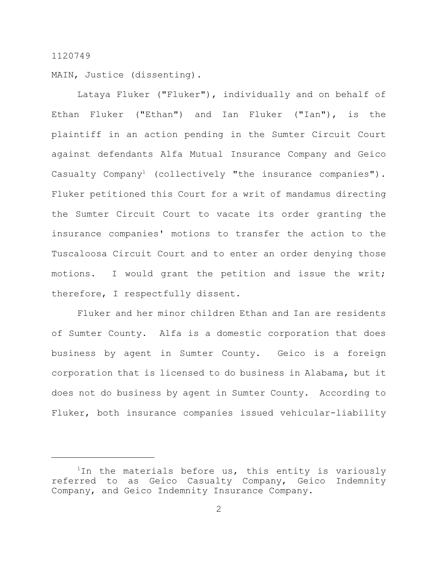MAIN, Justice (dissenting).

Lataya Fluker ("Fluker"), individually and on behalf of Ethan Fluker ("Ethan") and Ian Fluker ("Ian"), is the plaintiff in an action pending in the Sumter Circuit Court against defendants Alfa Mutual Insurance Company and Geico Casualty Company<sup>1</sup> (collectively "the insurance companies"). Fluker petitioned this Court for a writ of mandamus directing the Sumter Circuit Court to vacate its order granting the insurance companies' motions to transfer the action to the Tuscaloosa Circuit Court and to enter an order denying those motions. I would grant the petition and issue the writ; therefore, I respectfully dissent.

Fluker and her minor children Ethan and Ian are residents of Sumter County. Alfa is a domestic corporation that does business by agent in Sumter County. Geico is a foreign corporation that is licensed to do business in Alabama, but it does not do business by agent in Sumter County. According to Fluker, both insurance companies issued vehicular-liability

 $1$ In the materials before us, this entity is variously referred to as Geico Casualty Company, Geico Indemnity Company, and Geico Indemnity Insurance Company.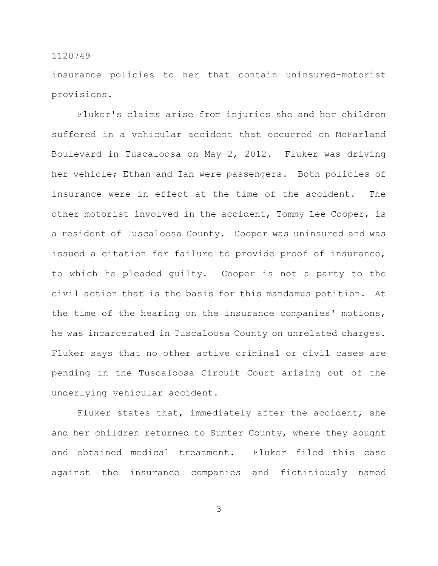insurance policies to her that contain uninsured-motorist provisions.

Fluker's claims arise from injuries she and her children suffered in a vehicular accident that occurred on McFarland Boulevard in Tuscaloosa on May 2, 2012. Fluker was driving her vehicle; Ethan and Ian were passengers. Both policies of insurance were in effect at the time of the accident. The other motorist involved in the accident, Tommy Lee Cooper, is a resident of Tuscaloosa County. Cooper was uninsured and was issued a citation for failure to provide proof of insurance, to which he pleaded guilty. Cooper is not a party to the civil action that is the basis for this mandamus petition. At the time of the hearing on the insurance companies' motions, he was incarcerated in Tuscaloosa County on unrelated charges. Fluker says that no other active criminal or civil cases are pending in the Tuscaloosa Circuit Court arising out of the underlying vehicular accident.

Fluker states that, immediately after the accident, she and her children returned to Sumter County, where they sought and obtained medical treatment. Fluker filed this case against the insurance companies and fictitiously named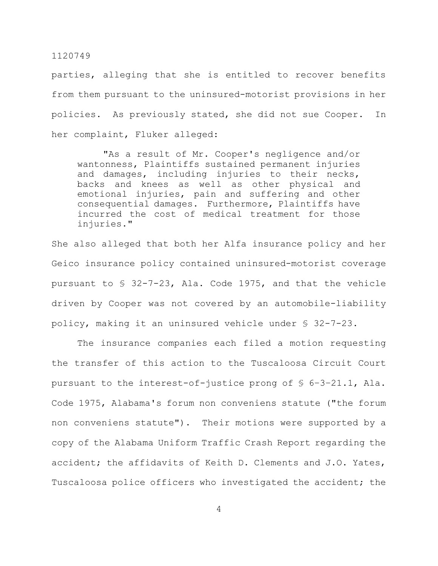parties, alleging that she is entitled to recover benefits from them pursuant to the uninsured-motorist provisions in her policies. As previously stated, she did not sue Cooper. In her complaint, Fluker alleged:

"As a result of Mr. Cooper's negligence and/or wantonness, Plaintiffs sustained permanent injuries and damages, including injuries to their necks, backs and knees as well as other physical and emotional injuries, pain and suffering and other consequential damages. Furthermore, Plaintiffs have incurred the cost of medical treatment for those injuries."

She also alleged that both her Alfa insurance policy and her Geico insurance policy contained uninsured-motorist coverage pursuant to § 32-7-23, Ala. Code 1975, and that the vehicle driven by Cooper was not covered by an automobile-liability policy, making it an uninsured vehicle under § 32-7-23.

The insurance companies each filed a motion requesting the transfer of this action to the Tuscaloosa Circuit Court pursuant to the interest-of-justice prong of § 6–3–21.1, Ala. Code 1975, Alabama's forum non conveniens statute ("the forum non conveniens statute"). Their motions were supported by a copy of the Alabama Uniform Traffic Crash Report regarding the accident; the affidavits of Keith D. Clements and J.O. Yates, Tuscaloosa police officers who investigated the accident; the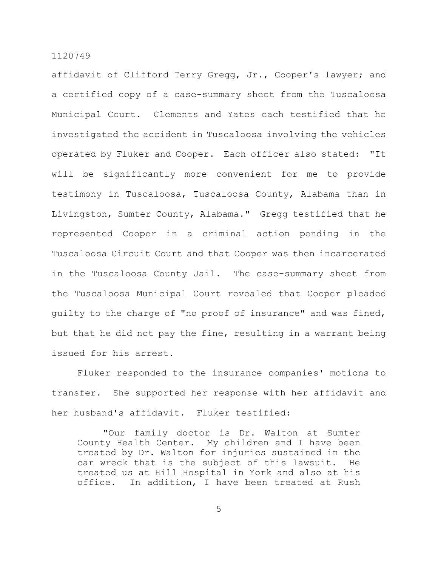affidavit of Clifford Terry Gregg, Jr., Cooper's lawyer; and a certified copy of a case-summary sheet from the Tuscaloosa Municipal Court. Clements and Yates each testified that he investigated the accident in Tuscaloosa involving the vehicles operated by Fluker and Cooper. Each officer also stated: "It will be significantly more convenient for me to provide testimony in Tuscaloosa, Tuscaloosa County, Alabama than in Livingston, Sumter County, Alabama." Gregg testified that he represented Cooper in a criminal action pending in the Tuscaloosa Circuit Court and that Cooper was then incarcerated in the Tuscaloosa County Jail. The case-summary sheet from the Tuscaloosa Municipal Court revealed that Cooper pleaded guilty to the charge of "no proof of insurance" and was fined, but that he did not pay the fine, resulting in a warrant being issued for his arrest.

Fluker responded to the insurance companies' motions to transfer. She supported her response with her affidavit and her husband's affidavit. Fluker testified:

"Our family doctor is Dr. Walton at Sumter County Health Center. My children and I have been treated by Dr. Walton for injuries sustained in the car wreck that is the subject of this lawsuit. He treated us at Hill Hospital in York and also at his office. In addition, I have been treated at Rush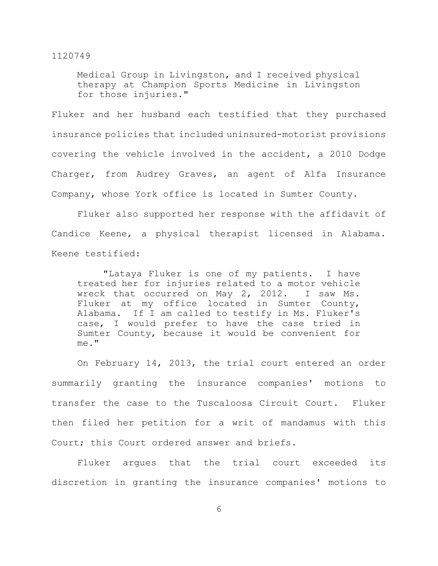Medical Group in Livingston, and I received physical therapy at Champion Sports Medicine in Livingston for those injuries."

Fluker and her husband each testified that they purchased insurance policies that included uninsured-motorist provisions covering the vehicle involved in the accident, a 2010 Dodge Charger, from Audrey Graves, an agent of Alfa Insurance Company, whose York office is located in Sumter County.

Fluker also supported her response with the affidavit of Candice Keene, a physical therapist licensed in Alabama. Keene testified:

"Lataya Fluker is one of my patients. I have treated her for injuries related to a motor vehicle wreck that occurred on May 2, 2012. I saw Ms. Fluker at my office located in Sumter County, Alabama. If I am called to testify in Ms. Fluker's case, I would prefer to have the case tried in Sumter County, because it would be convenient for me."

On February 14, 2013, the trial court entered an order summarily granting the insurance companies' motions to transfer the case to the Tuscaloosa Circuit Court. Fluker then filed her petition for a writ of mandamus with this Court; this Court ordered answer and briefs.

Fluker argues that the trial court exceeded its discretion in granting the insurance companies' motions to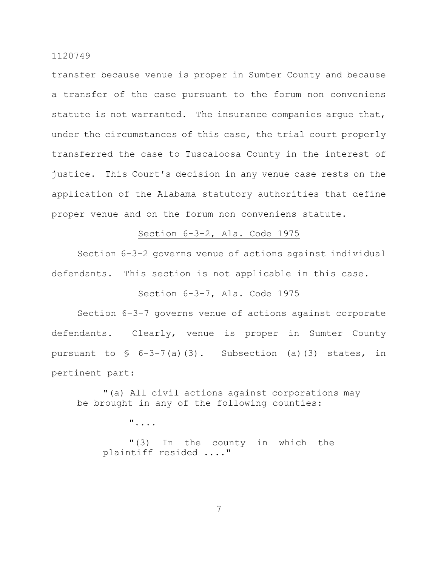transfer because venue is proper in Sumter County and because a transfer of the case pursuant to the forum non conveniens statute is not warranted. The insurance companies argue that, under the circumstances of this case, the trial court properly transferred the case to Tuscaloosa County in the interest of justice. This Court's decision in any venue case rests on the application of the Alabama statutory authorities that define proper venue and on the forum non conveniens statute.

# Section 6-3-2, Ala. Code 1975

Section 6–3–2 governs venue of actions against individual defendants. This section is not applicable in this case.

## Section 6-3-7, Ala. Code 1975

Section 6–3–7 governs venue of actions against corporate defendants. Clearly, venue is proper in Sumter County pursuant to  $\frac{1}{5}$  6-3-7(a)(3). Subsection (a)(3) states, in pertinent part:

"(a) All civil actions against corporations may be brought in any of the following counties:

"....

"(3) In the county in which the plaintiff resided ...."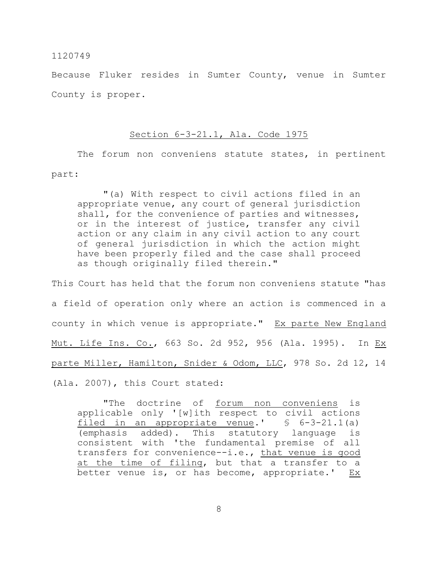Because Fluker resides in Sumter County, venue in Sumter County is proper.

## Section 6-3-21.1, Ala. Code 1975

The forum non conveniens statute states, in pertinent part:

"(a) With respect to civil actions filed in an appropriate venue, any court of general jurisdiction shall, for the convenience of parties and witnesses, or in the interest of justice, transfer any civil action or any claim in any civil action to any court of general jurisdiction in which the action might have been properly filed and the case shall proceed as though originally filed therein."

This Court has held that the forum non conveniens statute "has a field of operation only where an action is commenced in a county in which venue is appropriate." Ex parte New England Mut. Life Ins. Co., 663 So. 2d 952, 956 (Ala. 1995). In Ex parte Miller, Hamilton, Snider & Odom, LLC, 978 So. 2d 12, 14 (Ala. 2007), this Court stated:

"The doctrine of forum non conveniens is applicable only '[w]ith respect to civil actions filed in an appropriate venue.'  $\S$  6-3-21.1(a) (emphasis added). This statutory language is consistent with 'the fundamental premise of all transfers for convenience--i.e., that venue is good at the time of filing, but that a transfer to a better venue is, or has become, appropriate.' Ex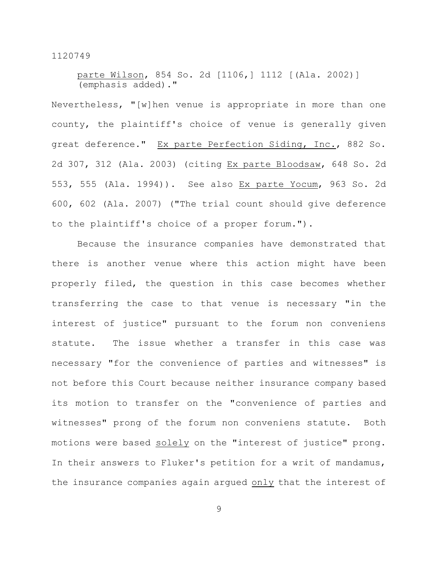parte Wilson, 854 So. 2d [1106,] 1112 [(Ala. 2002)] (emphasis added)."

Nevertheless, "[w]hen venue is appropriate in more than one county, the plaintiff's choice of venue is generally given great deference." Ex parte Perfection Siding, Inc., 882 So. 2d 307, 312 (Ala. 2003) (citing Ex parte Bloodsaw, 648 So. 2d 553, 555 (Ala. 1994)). See also Ex parte Yocum, 963 So. 2d 600, 602 (Ala. 2007) ("The trial count should give deference to the plaintiff's choice of a proper forum.").

Because the insurance companies have demonstrated that there is another venue where this action might have been properly filed, the question in this case becomes whether transferring the case to that venue is necessary "in the interest of justice" pursuant to the forum non conveniens statute. The issue whether a transfer in this case was necessary "for the convenience of parties and witnesses" is not before this Court because neither insurance company based its motion to transfer on the "convenience of parties and witnesses" prong of the forum non conveniens statute. Both motions were based solely on the "interest of justice" prong. In their answers to Fluker's petition for a writ of mandamus, the insurance companies again argued only that the interest of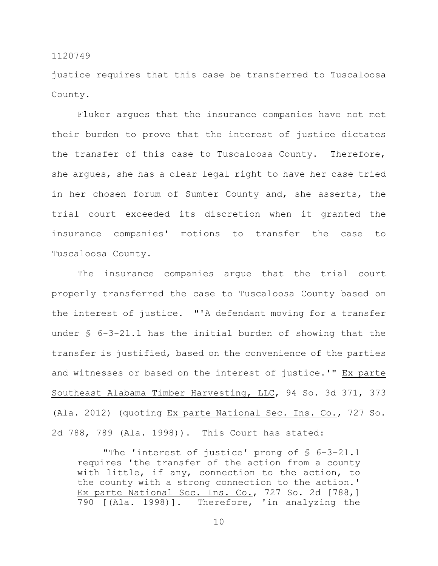justice requires that this case be transferred to Tuscaloosa County.

Fluker argues that the insurance companies have not met their burden to prove that the interest of justice dictates the transfer of this case to Tuscaloosa County. Therefore, she argues, she has a clear legal right to have her case tried in her chosen forum of Sumter County and, she asserts, the trial court exceeded its discretion when it granted the insurance companies' motions to transfer the case to Tuscaloosa County.

The insurance companies argue that the trial court properly transferred the case to Tuscaloosa County based on the interest of justice. "'A defendant moving for a transfer under § 6-3-21.1 has the initial burden of showing that the transfer is justified, based on the convenience of the parties and witnesses or based on the interest of justice.'" Ex parte Southeast Alabama Timber Harvesting, LLC, 94 So. 3d 371, 373 (Ala. 2012) (quoting Ex parte National Sec. Ins. Co., 727 So. 2d 788, 789 (Ala. 1998)). This Court has stated:

"The 'interest of justice' prong of § 6–3–21.1 requires 'the transfer of the action from a county with little, if any, connection to the action, to the county with a strong connection to the action.' Ex parte National Sec. Ins. Co., 727 So. 2d [788,] 790 [(Ala. 1998)]. Therefore, 'in analyzing the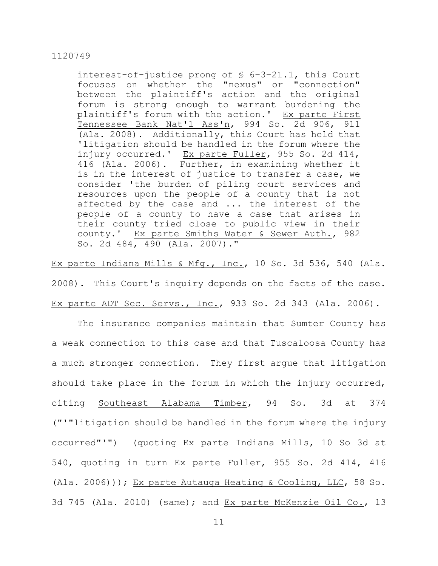interest-of-justice prong of § 6–3–21.1, this Court focuses on whether the "nexus" or "connection" between the plaintiff's action and the original forum is strong enough to warrant burdening the plaintiff's forum with the action.' Ex parte First Tennessee Bank Nat'l Ass'n, 994 So. 2d 906, 911 (Ala. 2008). Additionally, this Court has held that 'litigation should be handled in the forum where the injury occurred.' Ex parte Fuller, 955 So. 2d 414, 416 (Ala. 2006). Further, in examining whether it is in the interest of justice to transfer a case, we consider 'the burden of piling court services and resources upon the people of a county that is not affected by the case and ... the interest of the people of a county to have a case that arises in their county tried close to public view in their county.' Ex parte Smiths Water & Sewer Auth., 982 So. 2d 484, 490 (Ala. 2007)."

Ex parte Indiana Mills & Mfg., Inc., 10 So. 3d 536, 540 (Ala. 2008). This Court's inquiry depends on the facts of the case. Ex parte ADT Sec. Servs., Inc., 933 So. 2d 343 (Ala. 2006).

The insurance companies maintain that Sumter County has a weak connection to this case and that Tuscaloosa County has a much stronger connection. They first argue that litigation should take place in the forum in which the injury occurred, citing Southeast Alabama Timber, 94 So. 3d at 374 ("'"litigation should be handled in the forum where the injury occurred"'") (quoting Ex parte Indiana Mills, 10 So 3d at 540, quoting in turn Ex parte Fuller, 955 So. 2d 414, 416 (Ala. 2006))); Ex parte Autauga Heating & Cooling, LLC, 58 So. 3d 745 (Ala. 2010) (same); and Ex parte McKenzie Oil Co., 13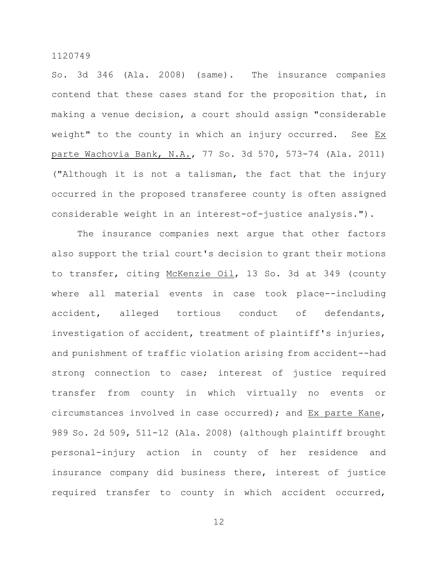So. 3d 346 (Ala. 2008) (same). The insurance companies contend that these cases stand for the proposition that, in making a venue decision, a court should assign "considerable weight" to the county in which an injury occurred. See Ex parte Wachovia Bank, N.A., 77 So. 3d 570, 573-74 (Ala. 2011) ("Although it is not a talisman, the fact that the injury occurred in the proposed transferee county is often assigned considerable weight in an interest-of-justice analysis.").

The insurance companies next argue that other factors also support the trial court's decision to grant their motions to transfer, citing McKenzie Oil, 13 So. 3d at 349 (county where all material events in case took place--including accident, alleged tortious conduct of defendants, investigation of accident, treatment of plaintiff's injuries, and punishment of traffic violation arising from accident--had strong connection to case; interest of justice required transfer from county in which virtually no events or circumstances involved in case occurred); and Ex parte Kane, 989 So. 2d 509, 511-12 (Ala. 2008) (although plaintiff brought personal-injury action in county of her residence and insurance company did business there, interest of justice required transfer to county in which accident occurred,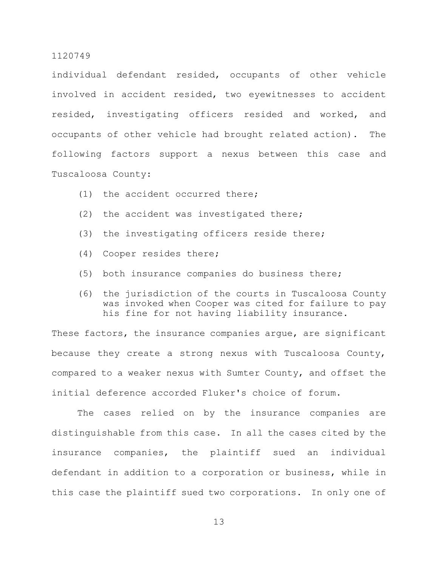individual defendant resided, occupants of other vehicle involved in accident resided, two eyewitnesses to accident resided, investigating officers resided and worked, and occupants of other vehicle had brought related action). The following factors support a nexus between this case and Tuscaloosa County:

- (1) the accident occurred there;
- (2) the accident was investigated there;
- (3) the investigating officers reside there;
- (4) Cooper resides there;
- (5) both insurance companies do business there;
- (6) the jurisdiction of the courts in Tuscaloosa County was invoked when Cooper was cited for failure to pay his fine for not having liability insurance.

These factors, the insurance companies argue, are significant because they create a strong nexus with Tuscaloosa County, compared to a weaker nexus with Sumter County, and offset the initial deference accorded Fluker's choice of forum.

The cases relied on by the insurance companies are distinguishable from this case. In all the cases cited by the insurance companies, the plaintiff sued an individual defendant in addition to a corporation or business, while in this case the plaintiff sued two corporations. In only one of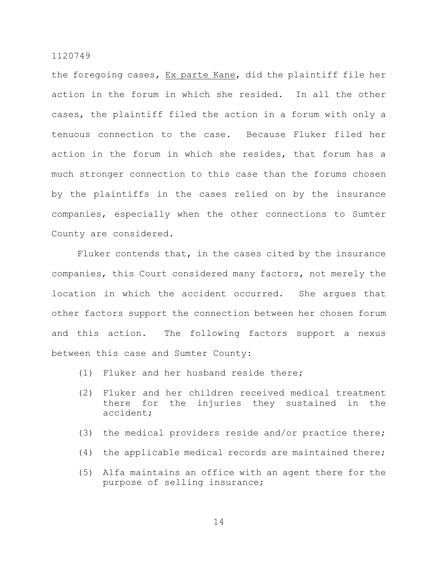the foregoing cases, Ex parte Kane, did the plaintiff file her action in the forum in which she resided. In all the other cases, the plaintiff filed the action in a forum with only a tenuous connection to the case. Because Fluker filed her action in the forum in which she resides, that forum has a much stronger connection to this case than the forums chosen by the plaintiffs in the cases relied on by the insurance companies, especially when the other connections to Sumter County are considered.

Fluker contends that, in the cases cited by the insurance companies, this Court considered many factors, not merely the location in which the accident occurred. She argues that other factors support the connection between her chosen forum and this action. The following factors support a nexus between this case and Sumter County:

- (1) Fluker and her husband reside there;
- (2) Fluker and her children received medical treatment there for the injuries they sustained in the accident;
- (3) the medical providers reside and/or practice there;
- (4) the applicable medical records are maintained there;
- (5) Alfa maintains an office with an agent there for the purpose of selling insurance;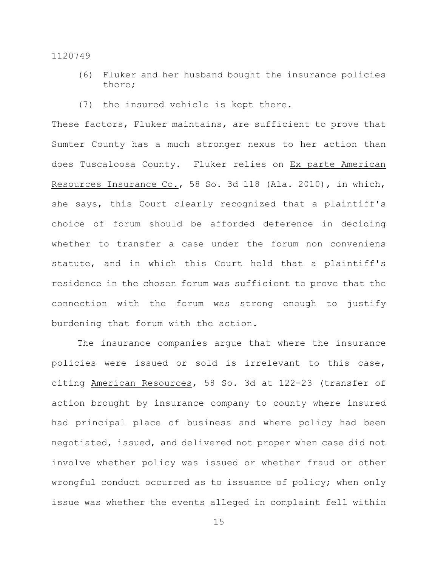- (6) Fluker and her husband bought the insurance policies there;
- (7) the insured vehicle is kept there.

These factors, Fluker maintains, are sufficient to prove that Sumter County has a much stronger nexus to her action than does Tuscaloosa County. Fluker relies on Ex parte American Resources Insurance Co., 58 So. 3d 118 (Ala. 2010), in which, she says, this Court clearly recognized that a plaintiff's choice of forum should be afforded deference in deciding whether to transfer a case under the forum non conveniens statute, and in which this Court held that a plaintiff's residence in the chosen forum was sufficient to prove that the connection with the forum was strong enough to justify burdening that forum with the action.

The insurance companies argue that where the insurance policies were issued or sold is irrelevant to this case, citing American Resources, 58 So. 3d at 122-23 (transfer of action brought by insurance company to county where insured had principal place of business and where policy had been negotiated, issued, and delivered not proper when case did not involve whether policy was issued or whether fraud or other wrongful conduct occurred as to issuance of policy; when only issue was whether the events alleged in complaint fell within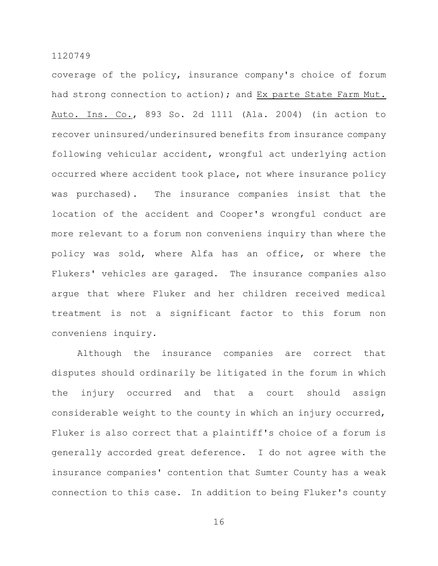coverage of the policy, insurance company's choice of forum had strong connection to action); and Ex parte State Farm Mut. Auto. Ins. Co., 893 So. 2d 1111 (Ala. 2004) (in action to recover uninsured/underinsured benefits from insurance company following vehicular accident, wrongful act underlying action occurred where accident took place, not where insurance policy was purchased). The insurance companies insist that the location of the accident and Cooper's wrongful conduct are more relevant to a forum non conveniens inquiry than where the policy was sold, where Alfa has an office, or where the Flukers' vehicles are garaged. The insurance companies also argue that where Fluker and her children received medical treatment is not a significant factor to this forum non conveniens inquiry.

Although the insurance companies are correct that disputes should ordinarily be litigated in the forum in which the injury occurred and that a court should assign considerable weight to the county in which an injury occurred, Fluker is also correct that a plaintiff's choice of a forum is generally accorded great deference. I do not agree with the insurance companies' contention that Sumter County has a weak connection to this case. In addition to being Fluker's county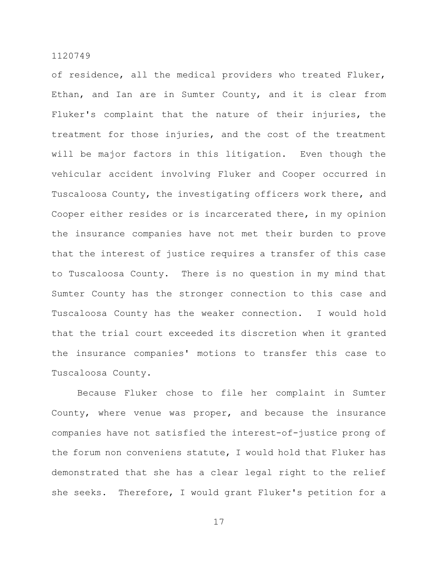of residence, all the medical providers who treated Fluker, Ethan, and Ian are in Sumter County, and it is clear from Fluker's complaint that the nature of their injuries, the treatment for those injuries, and the cost of the treatment will be major factors in this litigation. Even though the vehicular accident involving Fluker and Cooper occurred in Tuscaloosa County, the investigating officers work there, and Cooper either resides or is incarcerated there, in my opinion the insurance companies have not met their burden to prove that the interest of justice requires a transfer of this case to Tuscaloosa County. There is no question in my mind that Sumter County has the stronger connection to this case and Tuscaloosa County has the weaker connection. I would hold that the trial court exceeded its discretion when it granted the insurance companies' motions to transfer this case to Tuscaloosa County.

Because Fluker chose to file her complaint in Sumter County, where venue was proper, and because the insurance companies have not satisfied the interest-of-justice prong of the forum non conveniens statute, I would hold that Fluker has demonstrated that she has a clear legal right to the relief she seeks. Therefore, I would grant Fluker's petition for a